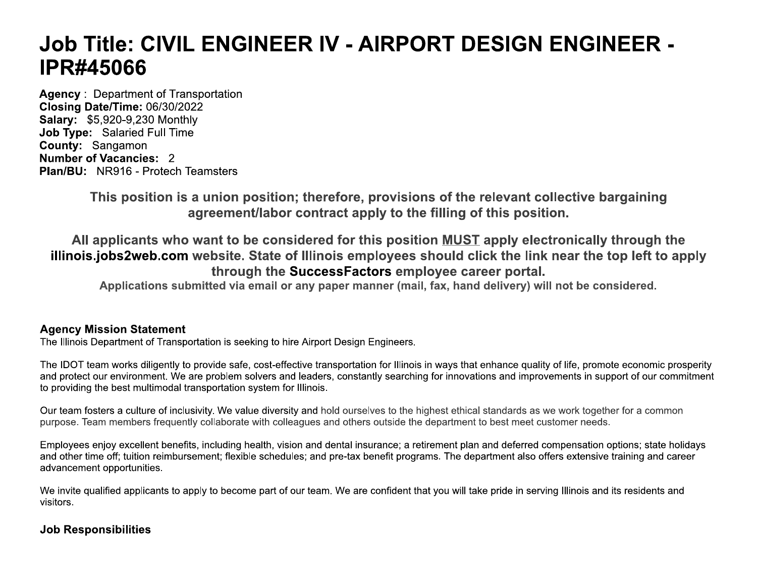# **Job Title: CIVIL ENGINEER IV - AIRPORT DESIGN ENGINEER -IPR#45066**

**Agency: Department of Transportation** Closing Date/Time: 06/30/2022 **Salary: \$5,920-9,230 Monthly** Job Type: Salaried Full Time County: Sangamon **Number of Vacancies: 2 Plan/BU: NR916 - Protech Teamsters** 

> This position is a union position; therefore, provisions of the relevant collective bargaining agreement/labor contract apply to the filling of this position.

All applicants who want to be considered for this position MUST apply electronically through the illinois.jobs2web.com website. State of Illinois employees should click the link near the top left to apply through the SuccessFactors employee career portal.

Applications submitted via email or any paper manner (mail, fax, hand delivery) will not be considered.

# **Agency Mission Statement**

The Illinois Department of Transportation is seeking to hire Airport Design Engineers.

The IDOT team works diligently to provide safe, cost-effective transportation for Illinois in ways that enhance quality of life, promote economic prosperity and protect our environment. We are problem solvers and leaders, constantly searching for innovations and improvements in support of our commitment to providing the best multimodal transportation system for Illinois.

Our team fosters a culture of inclusivity. We value diversity and hold ourselves to the highest ethical standards as we work together for a common purpose. Team members frequently collaborate with colleagues and others outside the department to best meet customer needs.

Employees enjoy excellent benefits, including health, vision and dental insurance; a retirement plan and deferred compensation options; state holidays and other time off; tuition reimbursement; flexible schedules; and pre-tax benefit programs. The department also offers extensive training and career advancement opportunities.

We invite qualified applicants to apply to become part of our team. We are confident that you will take pride in serving Illinois and its residents and visitors.

# **Job Responsibilities**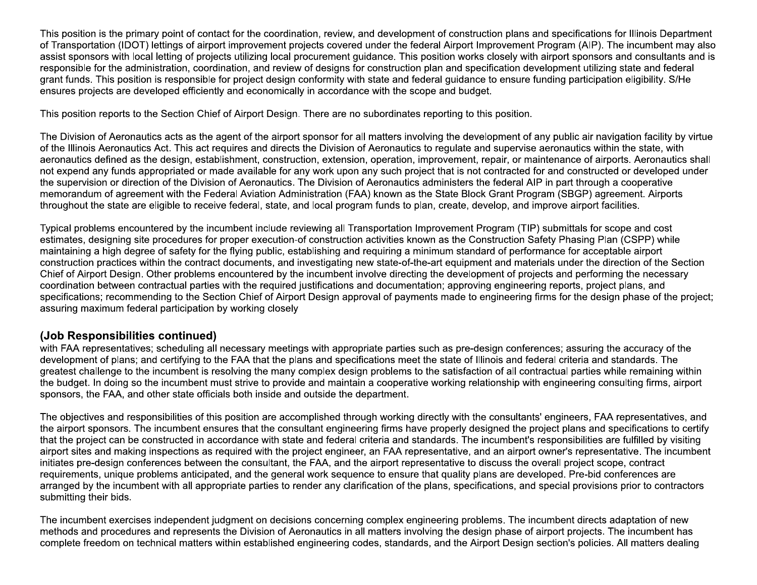This position is the primary point of contact for the coordination, review, and development of construction plans and specifications for Illinois Department of Transportation (IDOT) lettings of airport improvement projects covered under the federal Airport Improvement Program (AIP). The incumbent may also assist sponsors with local letting of projects utilizing local procurement guidance. This position works closely with airport sponsors and consultants and is responsible for the administration, coordination, and review of designs for construction plan and specification development utilizing state and federal grant funds. This position is responsible for project design conformity with state and federal quidance to ensure funding participation eligibility. S/He ensures projects are developed efficiently and economically in accordance with the scope and budget.

This position reports to the Section Chief of Airport Design. There are no subordinates reporting to this position.

The Division of Aeronautics acts as the agent of the airport sponsor for all matters involving the development of any public air navigation facility by virtue of the Illinois Aeronautics Act. This act requires and directs the Division of Aeronautics to requlate and supervise aeronautics within the state, with aeronautics defined as the design, establishment, construction, extension, operation, improvement, repair, or maintenance of airports. Aeronautics shall not expend any funds appropriated or made available for any work upon any such project that is not contracted for and constructed or developed under the supervision or direction of the Division of Aeronautics. The Division of Aeronautics administers the federal AIP in part through a cooperative memorandum of agreement with the Federal Aviation Administration (FAA) known as the State Block Grant Program (SBGP) agreement. Airports throughout the state are eligible to receive federal, state, and local program funds to plan, create, develop, and improve airport facilities.

Typical problems encountered by the incumbent include reviewing all Transportation Improvement Program (TIP) submittals for scope and cost estimates, designing site procedures for proper execution-of construction activities known as the Construction Safety Phasing Plan (CSPP) while maintaining a high degree of safety for the flying public, establishing and requiring a minimum standard of performance for acceptable airport construction practices within the contract documents, and investigating new state-of-the-art equipment and materials under the direction of the Section Chief of Airport Design. Other problems encountered by the incumbent involve directing the development of projects and performing the necessary coordination between contractual parties with the required iustifications and documentation; approving engineering reports, project plans, and specifications; recommending to the Section Chief of Airport Design approval of payments made to engineering firms for the design phase of the project; assuring maximum federal participation by working closely

## (Job Responsibilities continued)

with FAA representatives; scheduling all necessary meetings with appropriate parties such as pre-design conferences; assuring the accuracy of the development of plans; and certifying to the FAA that the plans and specifications meet the state of Illinois and federal criteria and standards. The greatest challenge to the incumbent is resolving the many complex design problems to the satisfaction of all contractual parties while remaining within the budget. In doing so the incumbent must strive to provide and maintain a cooperative working relationship with engineering consulting firms, airport sponsors, the FAA, and other state officials both inside and outside the department.

The objectives and responsibilities of this position are accomplished through working directly with the consultants' engineers, FAA representatives, and the airport sponsors. The incumbent ensures that the consultant engineering firms have properly designed the project plans and specifications to certify that the project can be constructed in accordance with state and federal criteria and standards. The incumbent's responsibilities are fulfilled by visiting airport sites and making inspections as required with the project engineer, an FAA representative, and an airport owner's representative. The incumbent initiates pre-design conferences between the consultant, the FAA, and the airport representative to discuss the overall project scope, contract requirements, unique problems anticipated, and the general work sequence to ensure that quality plans are developed. Pre-bid conferences are arranged by the incumbent with all appropriate parties to render any clarification of the plans, specifications, and special provisions prior to contractors submitting their bids.

The incumbent exercises independent judgment on decisions concerning complex engineering problems. The incumbent directs adaptation of new methods and procedures and represents the Division of Aeronautics in all matters involving the design phase of airport projects. The incumbent has complete freedom on technical matters within established engineering codes, standards, and the Airport Design section's policies. All matters dealing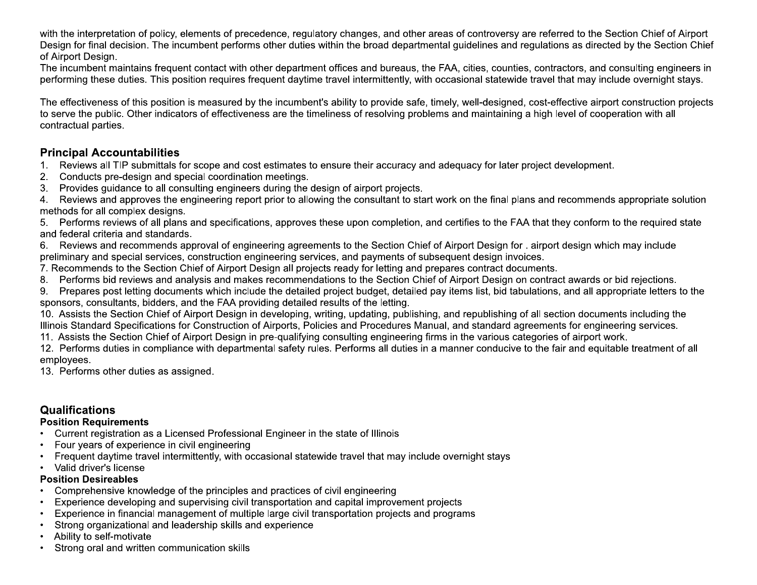with the interpretation of policy, elements of precedence, regulatory changes, and other areas of controversy are referred to the Section Chief of Airport Design for final decision. The incumbent performs other duties within the broad departmental quidelines and regulations as directed by the Section Chief of Airport Design.

The incumbent maintains frequent contact with other department offices and bureaus, the FAA, cities, counties, contractors, and consulting engineers in performing these duties. This position requires frequent daytime travel intermittently, with occasional statewide travel that may include overnight stays.

The effectiveness of this position is measured by the incumbent's ability to provide safe, timely, well-designed, cost-effective airport construction projects to serve the public. Other indicators of effectiveness are the timeliness of resolving problems and maintaining a high level of cooperation with all contractual parties.

## **Principal Accountabilities**

- Reviews all TIP submittals for scope and cost estimates to ensure their accuracy and adequacy for later project development.  $1<sup>1</sup>$
- Conducts pre-design and special coordination meetings.  $2.$
- Provides quidance to all consulting engineers during the design of airport projects.  $3.$

4. Reviews and approves the engineering report prior to allowing the consultant to start work on the final plans and recommends appropriate solution methods for all complex designs.

5. Performs reviews of all plans and specifications, approves these upon completion, and certifies to the FAA that they conform to the required state and federal criteria and standards.

Reviews and recommends approval of engineering agreements to the Section Chief of Airport Design for . airport design which may include 6. preliminary and special services, construction engineering services, and payments of subsequent design invoices.

- 7. Recommends to the Section Chief of Airport Design all projects ready for letting and prepares contract documents.
- Performs bid reviews and analysis and makes recommendations to the Section Chief of Airport Design on contract awards or bid rejections. 8.

Prepares post letting documents which include the detailed project budget, detailed pay items list, bid tabulations, and all appropriate letters to the 9. sponsors, consultants, bidders, and the FAA providing detailed results of the letting.

10. Assists the Section Chief of Airport Design in developing, writing, updating, publishing, and republishing of all section documents including the Illinois Standard Specifications for Construction of Airports, Policies and Procedures Manual, and standard agreements for engineering services.

11. Assists the Section Chief of Airport Design in pre-qualifying consulting engineering firms in the various categories of airport work.

12. Performs duties in compliance with departmental safety rules. Performs all duties in a manner conducive to the fair and equitable treatment of all employees.

13. Performs other duties as assigned.

# **Qualifications**

#### **Position Requirements**

- Current registration as a Licensed Professional Engineer in the state of Illinois
- Four years of experience in civil engineering
- Frequent daytime travel intermittently, with occasional statewide travel that may include overnight stays
- Valid driver's license

#### **Position Desireables**

- Comprehensive knowledge of the principles and practices of civil engineering
- Experience developing and supervising civil transportation and capital improvement projects
- Experience in financial management of multiple large civil transportation projects and programs
- Strong organizational and leadership skills and experience
- Ability to self-motivate
- Strong oral and written communication skills